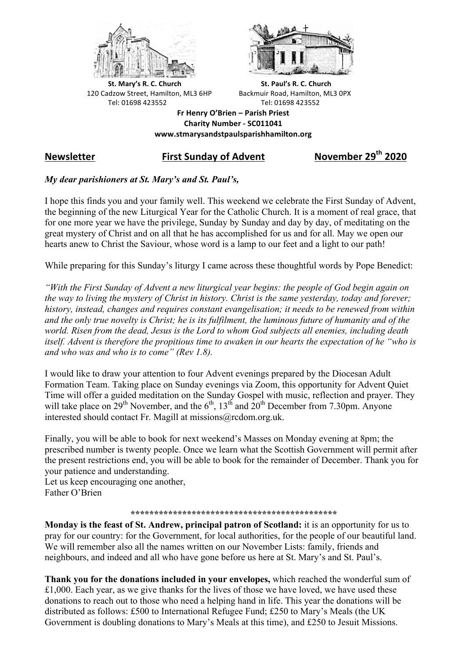



**St.** Mary's R. C. Church St. Paul's R. C. Church 120 Cadzow Street, Hamilton, ML3 6HP Backmuir Road, Hamilton, ML3 0PX Tel: 01698 423552 Tel: 01698 423552

**Fr Henry O'Brien – Parish Priest Charity Number - SC011041 www.stmarysandstpaulsparishhamilton.org**

# **Newsletter First Sunday of Advent November 29th 2020**

## *My dear parishioners at St. Mary's and St. Paul's,*

I hope this finds you and your family well. This weekend we celebrate the First Sunday of Advent, the beginning of the new Liturgical Year for the Catholic Church. It is a moment of real grace, that for one more year we have the privilege, Sunday by Sunday and day by day, of meditating on the great mystery of Christ and on all that he has accomplished for us and for all. May we open our hearts anew to Christ the Saviour, whose word is a lamp to our feet and a light to our path!

While preparing for this Sunday's liturgy I came across these thoughtful words by Pope Benedict:

*"With the First Sunday of Advent a new liturgical year begins: the people of God begin again on the way to living the mystery of Christ in history. Christ is the same yesterday, today and forever; history, instead, changes and requires constant evangelisation; it needs to be renewed from within and the only true novelty is Christ; he is its fulfilment, the luminous future of humanity and of the world. Risen from the dead, Jesus is the Lord to whom God subjects all enemies, including death itself. Advent is therefore the propitious time to awaken in our hearts the expectation of he "who is and who was and who is to come" (Rev 1.8).*

I would like to draw your attention to four Advent evenings prepared by the Diocesan Adult Formation Team. Taking place on Sunday evenings via Zoom, this opportunity for Advent Quiet Time will offer a guided meditation on the Sunday Gospel with music, reflection and prayer. They will take place on  $29<sup>th</sup>$  November, and the  $6<sup>th</sup>$ ,  $13<sup>th</sup>$  and  $20<sup>th</sup>$  December from 7.30pm. Anyone interested should contact Fr. Magill at missions@rcdom.org.uk.

Finally, you will be able to book for next weekend's Masses on Monday evening at 8pm; the prescribed number is twenty people. Once we learn what the Scottish Government will permit after the present restrictions end, you will be able to book for the remainder of December. Thank you for your patience and understanding.

Let us keep encouraging one another, Father O'Brien

## *\*\*\*\*\*\*\*\*\*\*\*\*\*\*\*\*\*\*\*\*\*\*\*\*\*\*\*\*\*\*\*\*\*\*\*\*\*\*\*\*\*\*\*\**

**Monday is the feast of St. Andrew, principal patron of Scotland:** it is an opportunity for us to pray for our country: for the Government, for local authorities, for the people of our beautiful land. We will remember also all the names written on our November Lists: family, friends and neighbours, and indeed and all who have gone before us here at St. Mary's and St. Paul's.

**Thank you for the donations included in your envelopes,** which reached the wonderful sum of £1,000. Each year, as we give thanks for the lives of those we have loved, we have used these donations to reach out to those who need a helping hand in life. This year the donations will be distributed as follows: £500 to International Refugee Fund; £250 to Mary's Meals (the UK Government is doubling donations to Mary's Meals at this time), and £250 to Jesuit Missions.